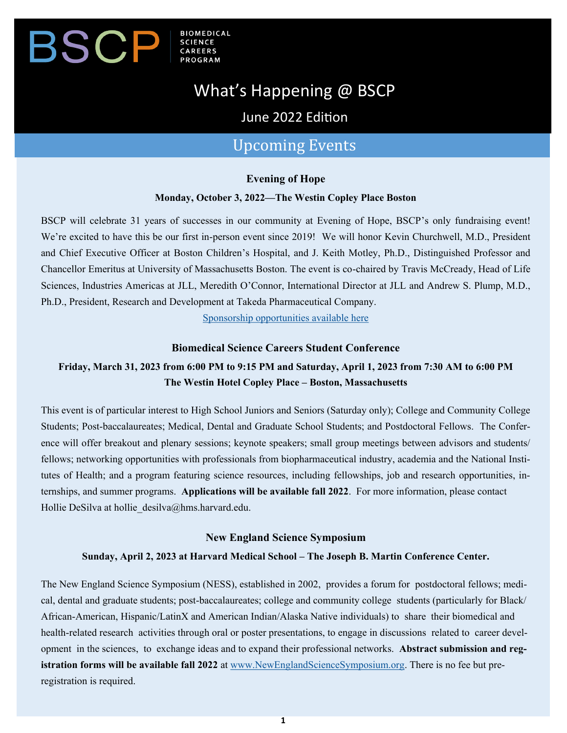### **BIOMEDICAL** SCP  $\bm{\mathsf{B}}$

# What's Happening @ BSCP

June 2022 Edition

## Upcoming Events

#### **Evening of Hope**

#### **Monday, October 3, 2022—The Westin Copley Place Boston**

BSCP will celebrate 31 years of successes in our community at Evening of Hope, BSCP's only fundraising event! We're excited to have this be our first in-person event since 2019! We will honor Kevin Churchwell, M.D., President and Chief Executive Officer at Boston Children's Hospital, and J. Keith Motley, Ph.D., Distinguished Professor and Chancellor Emeritus at University of Massachusetts Boston. The event is co-chaired by Travis McCready, Head of Life Sciences, Industries Americas at JLL, Meredith O'Connor, International Director at JLL and Andrew S. Plump, M.D., Ph.D., President, Research and Development at Takeda Pharmaceutical Company.

[Sponsorship opportunities available here](https://www.bscp.org/event/evening-of-hope-2/)

#### **Biomedical Science Careers Student Conference**

### **Friday, March 31, 2023 from 6:00 PM to 9:15 PM and Saturday, April 1, 2023 from 7:30 AM to 6:00 PM The Westin Hotel Copley Place – Boston, Massachusetts**

This event is of particular interest to High School Juniors and Seniors (Saturday only); College and Community College Students; Post-baccalaureates; Medical, Dental and Graduate School Students; and Postdoctoral Fellows. The Conference will offer breakout and plenary sessions; keynote speakers; small group meetings between advisors and students/ fellows; networking opportunities with professionals from biopharmaceutical industry, academia and the National Institutes of Health; and a program featuring science resources, including fellowships, job and research opportunities, internships, and summer programs. **Applications will be available fall 2022**. For more information, please contact Hollie DeSilva at hollie desilva@hms.harvard.edu.

#### **New England Science Symposium**

#### **Sunday, April 2, 2023 at Harvard Medical School – The Joseph B. Martin Conference Center.**

The New England Science Symposium (NESS), established in 2002, provides a forum for postdoctoral fellows; medical, dental and graduate students; post-baccalaureates; college and community college students (particularly for Black/ African-American, Hispanic/LatinX and American Indian/Alaska Native individuals) to share their biomedical and health-related research activities through oral or poster presentations, to engage in discussions related to career development in the sciences, to exchange ideas and to expand their professional networks. **Abstract submission and registration forms will be available fall 2022** at [www.NewEnglandScienceSymposium.org.](http://www.newenglandsciencesymposium.org/) There is no fee but preregistration is required.